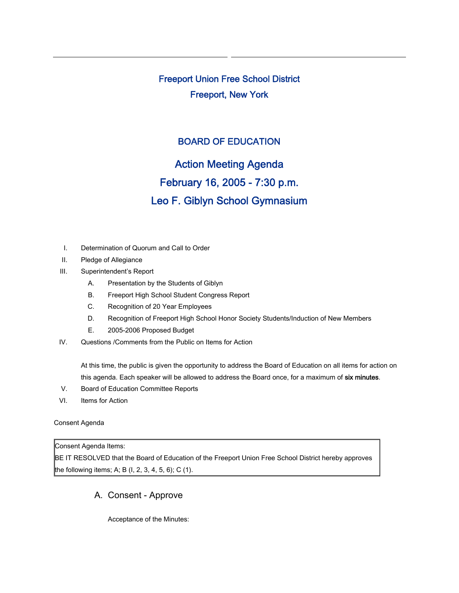Freeport Union Free School District Freeport, New York

## BOARD OF EDUCATION

Action Meeting Agenda

# February 16, 2005 - 7:30 p.m.

# Leo F. Giblyn School Gymnasium

- I. Determination of Quorum and Call to Order
- II. Pledge of Allegiance
- III. Superintendent's Report
	- A. Presentation by the Students of Giblyn
	- B. Freeport High School Student Congress Report
	- C. Recognition of 20 Year Employees
	- D. Recognition of Freeport High School Honor Society Students/Induction of New Members
	- E. 2005-2006 Proposed Budget
- IV. Questions /Comments from the Public on Items for Action

At this time, the public is given the opportunity to address the Board of Education on all items for action on this agenda. Each speaker will be allowed to address the Board once, for a maximum of six minutes.

- V. Board of Education Committee Reports
- VI. Items for Action

#### Consent Agenda

#### Consent Agenda Items:

BE IT RESOLVED that the Board of Education of the Freeport Union Free School District hereby approves the following items; A; B (I, 2, 3, 4, 5, 6); C (1).

### A. Consent - Approve

Acceptance of the Minutes: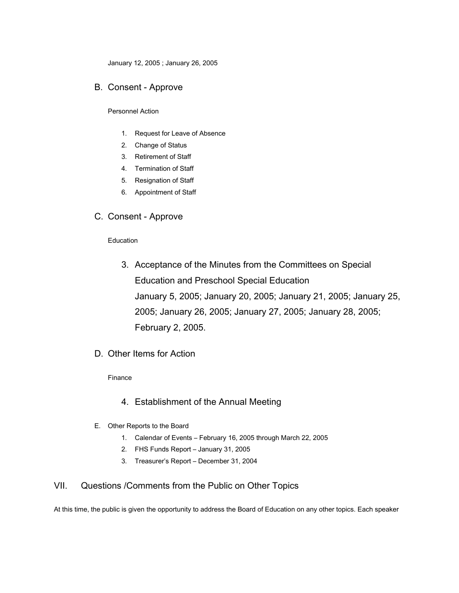January 12, 2005 ; January 26, 2005

#### B. Consent - Approve

Personnel Action

- 1. Request for Leave of Absence
- 2. Change of Status
- 3. Retirement of Staff
- 4. Termination of Staff
- 5. Resignation of Staff
- 6. Appointment of Staff

### C. Consent - Approve

#### Education

- 3. Acceptance of the Minutes from the Committees on Special Education and Preschool Special Education January 5, 2005; January 20, 2005; January 21, 2005; January 25, 2005; January 26, 2005; January 27, 2005; January 28, 2005; February 2, 2005.
- D. Other Items for Action

#### Finance

- 4. Establishment of the Annual Meeting
- E. Other Reports to the Board
	- 1. Calendar of Events February 16, 2005 through March 22, 2005
	- 2. FHS Funds Report January 31, 2005
	- 3. Treasurer's Report December 31, 2004

#### VII. Questions /Comments from the Public on Other Topics

At this time, the public is given the opportunity to address the Board of Education on any other topics. Each speaker